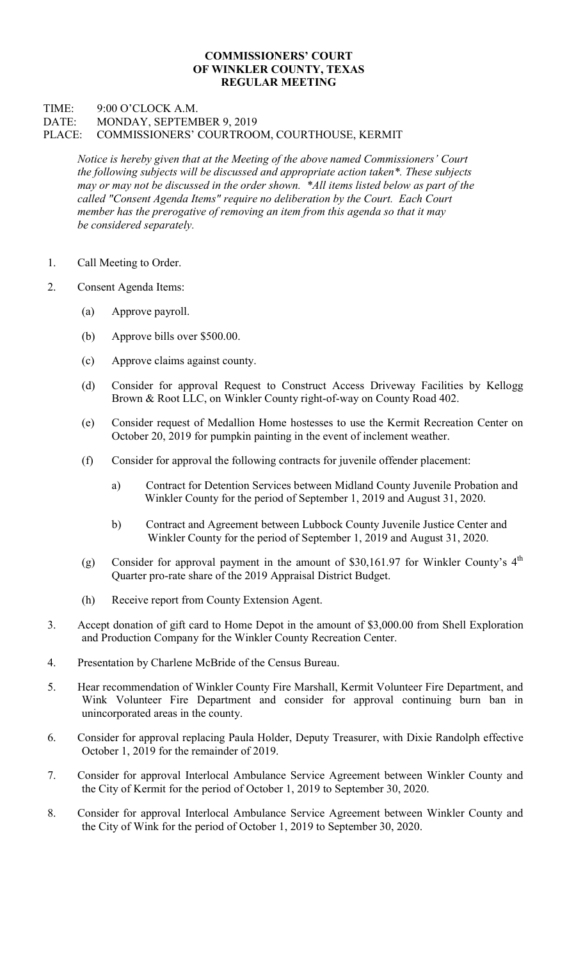## COMMISSIONERS' COURT OF WINKLER COUNTY, TEXAS REGULAR MEETING

## TIME: 9:00 O'CLOCK A.M. DATE: MONDAY, SEPTEMBER 9, 2019 PLACE: COMMISSIONERS' COURTROOM, COURTHOUSE, KERMIT

Notice is hereby given that at the Meeting of the above named Commissioners' Court the following subjects will be discussed and appropriate action taken\*. These subjects may or may not be discussed in the order shown. \*All items listed below as part of the called "Consent Agenda Items" require no deliberation by the Court. Each Court member has the prerogative of removing an item from this agenda so that it may be considered separately.

- 1. Call Meeting to Order.
- 2. Consent Agenda Items:
	- (a) Approve payroll.
	- (b) Approve bills over \$500.00.
	- (c) Approve claims against county.
	- (d) Consider for approval Request to Construct Access Driveway Facilities by Kellogg Brown & Root LLC, on Winkler County right-of-way on County Road 402.
	- (e) Consider request of Medallion Home hostesses to use the Kermit Recreation Center on October 20, 2019 for pumpkin painting in the event of inclement weather.
	- (f) Consider for approval the following contracts for juvenile offender placement:
		- a) Contract for Detention Services between Midland County Juvenile Probation and Winkler County for the period of September 1, 2019 and August 31, 2020.
		- b) Contract and Agreement between Lubbock County Juvenile Justice Center and Winkler County for the period of September 1, 2019 and August 31, 2020.
	- (g) Consider for approval payment in the amount of \$30,161.97 for Winkler County's  $4<sup>th</sup>$ Quarter pro-rate share of the 2019 Appraisal District Budget.
	- (h) Receive report from County Extension Agent.
- 3. Accept donation of gift card to Home Depot in the amount of \$3,000.00 from Shell Exploration and Production Company for the Winkler County Recreation Center.
- 4. Presentation by Charlene McBride of the Census Bureau.
- 5. Hear recommendation of Winkler County Fire Marshall, Kermit Volunteer Fire Department, and Wink Volunteer Fire Department and consider for approval continuing burn ban in unincorporated areas in the county.
- 6. Consider for approval replacing Paula Holder, Deputy Treasurer, with Dixie Randolph effective October 1, 2019 for the remainder of 2019.
- 7. Consider for approval Interlocal Ambulance Service Agreement between Winkler County and the City of Kermit for the period of October 1, 2019 to September 30, 2020.
- 8. Consider for approval Interlocal Ambulance Service Agreement between Winkler County and the City of Wink for the period of October 1, 2019 to September 30, 2020.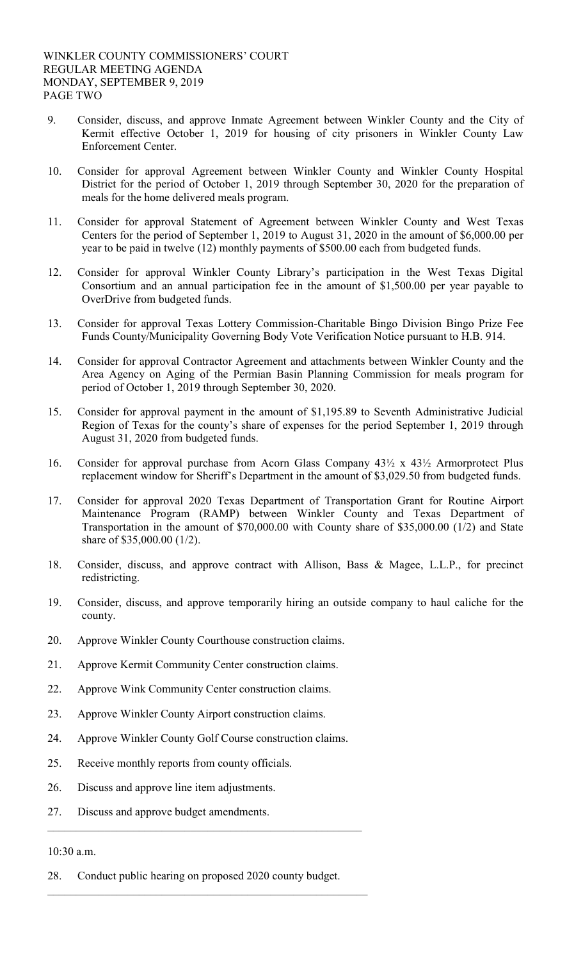- 9. Consider, discuss, and approve Inmate Agreement between Winkler County and the City of Kermit effective October 1, 2019 for housing of city prisoners in Winkler County Law Enforcement Center.
- 10. Consider for approval Agreement between Winkler County and Winkler County Hospital District for the period of October 1, 2019 through September 30, 2020 for the preparation of meals for the home delivered meals program.
- 11. Consider for approval Statement of Agreement between Winkler County and West Texas Centers for the period of September 1, 2019 to August 31, 2020 in the amount of \$6,000.00 per year to be paid in twelve (12) monthly payments of \$500.00 each from budgeted funds.
- 12. Consider for approval Winkler County Library's participation in the West Texas Digital Consortium and an annual participation fee in the amount of \$1,500.00 per year payable to OverDrive from budgeted funds.
- 13. Consider for approval Texas Lottery Commission-Charitable Bingo Division Bingo Prize Fee Funds County/Municipality Governing Body Vote Verification Notice pursuant to H.B. 914.
- 14. Consider for approval Contractor Agreement and attachments between Winkler County and the Area Agency on Aging of the Permian Basin Planning Commission for meals program for period of October 1, 2019 through September 30, 2020.
- 15. Consider for approval payment in the amount of \$1,195.89 to Seventh Administrative Judicial Region of Texas for the county's share of expenses for the period September 1, 2019 through August 31, 2020 from budgeted funds.
- 16. Consider for approval purchase from Acorn Glass Company 43½ x 43½ Armorprotect Plus replacement window for Sheriff's Department in the amount of \$3,029.50 from budgeted funds.
- 17. Consider for approval 2020 Texas Department of Transportation Grant for Routine Airport Maintenance Program (RAMP) between Winkler County and Texas Department of Transportation in the amount of \$70,000.00 with County share of \$35,000.00 (1/2) and State share of \$35,000.00 (1/2).
- 18. Consider, discuss, and approve contract with Allison, Bass & Magee, L.L.P., for precinct redistricting.
- 19. Consider, discuss, and approve temporarily hiring an outside company to haul caliche for the county.
- 20. Approve Winkler County Courthouse construction claims.
- 21. Approve Kermit Community Center construction claims.
- 22. Approve Wink Community Center construction claims.
- 23. Approve Winkler County Airport construction claims.
- 24. Approve Winkler County Golf Course construction claims.
- 25. Receive monthly reports from county officials.
- 26. Discuss and approve line item adjustments.
- 27. Discuss and approve budget amendments.

## 10:30 a.m.

28. Conduct public hearing on proposed 2020 county budget.